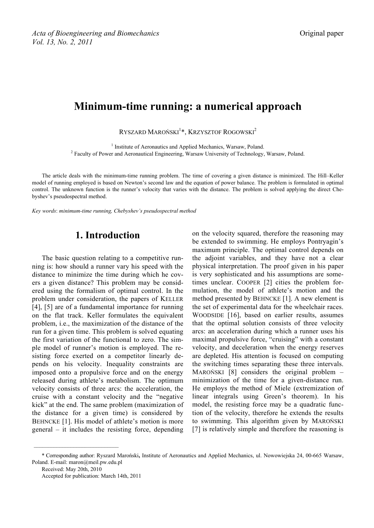# **Minimum-time running: a numerical approach**

RYSZARD MAROŃSKI<sup>1</sup>\*, Krzysztof Rogowski<sup>2</sup>

<sup>1</sup> Institute of Aeronautics and Applied Mechanics, Warsaw, Poland. <sup>2</sup> Faculty of Power and Aeronautical Engineering, Warsaw University of Technology, Warsaw, Poland.

The article deals with the minimum-time running problem. The time of covering a given distance is minimized. The Hill–Keller model of running employed is based on Newton's second law and the equation of power balance. The problem is formulated in optimal control. The unknown function is the runner's velocity that varies with the distance. The problem is solved applying the direct Chebyshev's pseudospectral method.

*Key words*: *minimum-time running, Chebyshev's pseudospectral method*

## **1. Introduction**

The basic question relating to a competitive running is: how should a runner vary his speed with the distance to minimize the time during which he covers a given distance? This problem may be considered using the formalism of optimal control. In the problem under consideration, the papers of KELLER [4], [5] are of a fundamental importance for running on the flat track. Keller formulates the equivalent problem, i.e., the maximization of the distance of the run for a given time. This problem is solved equating the first variation of the functional to zero. The simple model of runner's motion is employed. The resisting force exerted on a competitor linearly depends on his velocity. Inequality constraints are imposed onto a propulsive force and on the energy released during athlete's metabolism. The optimum velocity consists of three arcs: the acceleration, the cruise with a constant velocity and the "negative kick" at the end. The same problem (maximization of the distance for a given time) is considered by BEHNCKE [1]. His model of athlete's motion is more general – it includes the resisting force, depending

on the velocity squared, therefore the reasoning may be extended to swimming. He employs Pontryagin's maximum principle. The optimal control depends on the adjoint variables, and they have not a clear physical interpretation. The proof given in his paper is very sophisticated and his assumptions are sometimes unclear. COOPER [2] cities the problem formulation, the model of athlete's motion and the method presented by BEHNCKE [1]. A new element is the set of experimental data for the wheelchair races. WOODSIDE [16], based on earlier results, assumes that the optimal solution consists of three velocity arcs: an acceleration during which a runner uses his maximal propulsive force, "cruising" with a constant velocity, and deceleration when the energy reserves are depleted. His attention is focused on computing the switching times separating these three intervals. MAROŃSKI [8] considers the original problem – minimization of the time for a given-distance run. He employs the method of Miele (extremization of linear integrals using Green's theorem). In his model, the resisting force may be a quadratic function of the velocity, therefore he extends the results to swimming. This algorithm given by MAROŃSKI [7] is relatively simple and therefore the reasoning is

Received: May 20th, 2010

<sup>\*</sup> Corresponding author: Ryszard Maroński**,** Institute of Aeronautics and Applied Mechanics, ul. Nowowiejska 24, 00-665 Warsaw, Poland. E-mail: maron@meil.pw.edu.pl

Accepted for publication: March 14th, 2011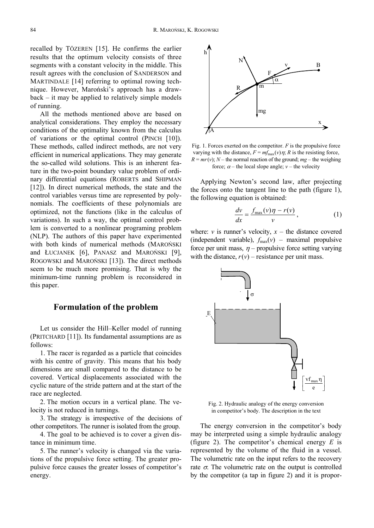recalled by TÖZEREN [15]. He confirms the earlier results that the optimum velocity consists of three segments with a constant velocity in the middle. This result agrees with the conclusion of SANDERSON and MARTINDALE [14] referring to optimal rowing technique. However, Maroński's approach has a drawback – it may be applied to relatively simple models of running.

All the methods mentioned above are based on analytical considerations. They employ the necessary conditions of the optimality known from the calculus of variations or the optimal control (PINCH [10]). These methods, called indirect methods, are not very efficient in numerical applications. They may generate the so-called wild solutions. This is an inherent feature in the two-point boundary value problem of ordinary differential equations (ROBERTS and SHIPMAN [12]). In direct numerical methods, the state and the control variables versus time are represented by polynomials. The coefficients of these polynomials are optimized, not the functions (like in the calculus of variations). In such a way, the optimal control problem is converted to a nonlinear programing problem (NLP). The authors of this paper have experimented with both kinds of numerical methods (MAROŃSKI and ŁUCJANEK [6], PANASZ and MAROŃSKI [9], ROGOWSKI and MAROŃSKI [13]). The direct methods seem to be much more promising. That is why the minimum-time running problem is reconsidered in this paper.

### **Formulation of the problem**

Let us consider the Hill–Keller model of running (PRITCHARD [11]). Its fundamental assumptions are as follows:

1. The racer is regarded as a particle that coincides with his centre of gravity. This means that his body dimensions are small compared to the distance to be covered. Vertical displacements associated with the cyclic nature of the stride pattern and at the start of the race are neglected.

2. The motion occurs in a vertical plane. The velocity is not reduced in turnings.

3. The strategy is irrespective of the decisions of other competitors. The runner is isolated from the group.

4. The goal to be achieved is to cover a given distance in minimum time.

5. The runner's velocity is changed via the variations of the propulsive force setting. The greater propulsive force causes the greater losses of competitor's energy.



Fig. 1. Forces exerted on the competitor. *F* is the propulsive force varying with the distance,  $F = mf_{\text{max}}(v)\eta$ ; *R* is the resisting force,  $R = mr(v)$ ; *N* – the normal reaction of the ground; *mg* – the weighing force;  $\alpha$  – the local slope angle;  $\nu$  – the velocity

Applying Newton's second law, after projecting the forces onto the tangent line to the path (figure 1), the following equation is obtained:

$$
\frac{dv}{dx} = \frac{f_{\text{max}}(v)\eta - r(v)}{v},\tag{1}
$$

where:  $\nu$  is runner's velocity,  $x -$  the distance covered (independent variable),  $f_{\text{max}}(v)$  – maximal propulsive force per unit mass,  $\eta$  – propulsive force setting varying with the distance,  $r(v)$  – resistance per unit mass.



Fig. 2. Hydraulic analogy of the energy conversion in competitor's body. The description in the text

The energy conversion in the competitor's body may be interpreted using a simple hydraulic analogy (figure 2). The competitor's chemical energy *E* is represented by the volume of the fluid in a vessel. The volumetric rate on the input refers to the recovery rate  $\sigma$ . The volumetric rate on the output is controlled by the competitor (a tap in figure 2) and it is propor-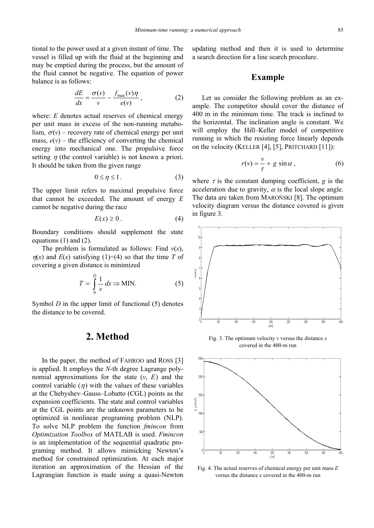tional to the power used at a given instant of time. The vessel is filled up with the fluid at the beginning and may be emptied during the process, but the amount of the fluid cannot be negative. The equation of power balance is as follows:

$$
\frac{dE}{dx} = \frac{\sigma(v)}{v} - \frac{f_{\text{max}}(v)\eta}{e(v)},\tag{2}
$$

where: *E* denotes actual reserves of chemical energy per unit mass in excess of the non-running metabolism,  $\sigma(v)$  – recovery rate of chemical energy per unit mass,  $e(v)$  – the efficiency of converting the chemical energy into mechanical one. The propulsive force setting  $\eta$  (the control variable) is not known a priori. It should be taken from the given range

$$
0 \le \eta \le 1. \tag{3}
$$

The upper limit refers to maximal propulsive force that cannot be exceeded. The amount of energy *E* cannot be negative during the race

$$
E(x) \ge 0. \tag{4}
$$

Boundary conditions should supplement the state equations (1) and (2).

The problem is formulated as follows: Find  $v(x)$ ,  $\eta(x)$  and  $E(x)$  satisfying (1)÷(4) so that the time *T* of covering a given distance is minimized

$$
T = \int_{0}^{D} \frac{1}{\nu} dx \Rightarrow \text{MIN.}
$$
 (5)

Symbol *D* in the upper limit of functional (5) denotes the distance to be covered.

### **2. Method**

In the paper, the method of FAHROO and ROSS [3] is applied. It employs the *N*-th degree Lagrange polynomial approximations for the state  $(v, E)$  and the control variable  $(\eta)$  with the values of these variables at the Chebyshev–Gauss–Lobatto (CGL) points as the expansion coefficients. The state and control variables at the CGL points are the unknown parameters to be optimized in nonlinear programing problem (NLP). To solve NLP problem the function *fmincon* from *Optimization Toolbox* of MATLAB is used. *Fmincon* is an implementation of the sequential quadratic programing method. It allows mimicking Newton's method for constrained optimization. At each major iteration an approximation of the Hessian of the Lagrangian function is made using a quasi-Newton updating method and then it is used to determine a search direction for a line search procedure.

#### **Example**

Let us consider the following problem as an example. The competitor should cover the distance of 400 m in the minimum time. The track is inclined to the horizontal. The inclination angle is constant. We will employ the Hill–Keller model of competitive running in which the resisting force linearly depends on the velocity (KELLER [4], [5], PRITCHARD [11]):

$$
r(v) = \frac{v}{\tau} + g \sin \alpha , \qquad (6)
$$

where  $\tau$  is the constant dumping coefficient, *g* is the acceleration due to gravity,  $\alpha$  is the local slope angle. The data are taken from MAROŃSKI [8]. The optimum velocity diagram versus the distance covered is given in figure 3.



Fig. 3. The optimum velocity *v* versus the distance *x* covered in the 400-m run



Fig. 4. The actual reserves of chemical energy per unit mass *E* versus the distance *x* covered in the 400-m run